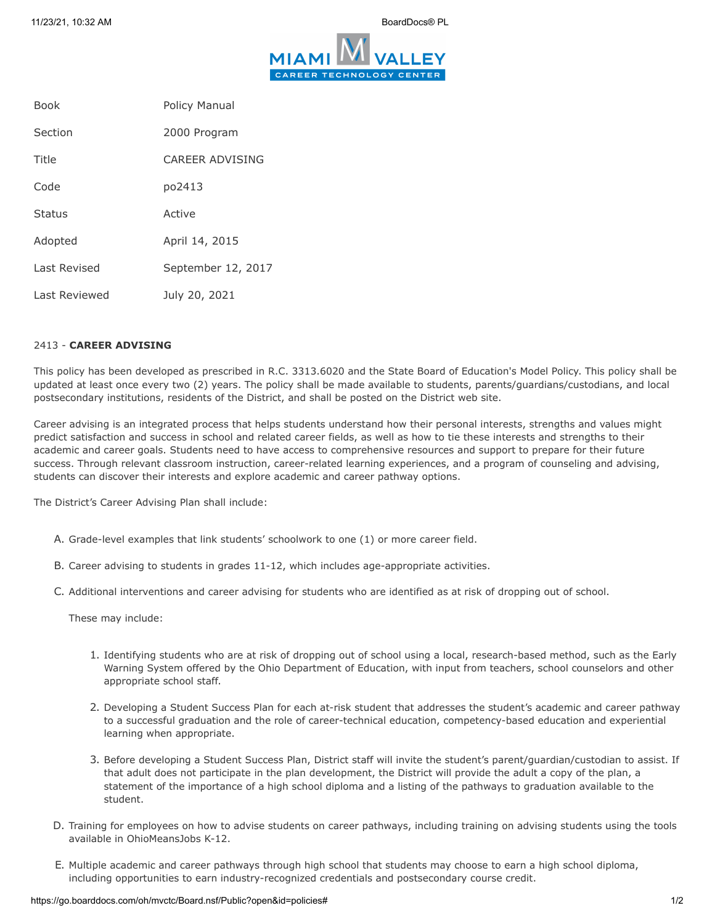

| <b>Book</b>   | <b>Policy Manual</b> |
|---------------|----------------------|
| Section       | 2000 Program         |
| Title         | CARFFR ADVISING      |
| Code          | po2413               |
| <b>Status</b> | Active               |
| Adopted       | April 14, 2015       |
| Last Revised  | September 12, 2017   |
| Last Reviewed | July 20, 2021        |

## 2413 - **CAREER ADVISING**

This policy has been developed as prescribed in R.C. 3313.6020 and the State Board of Education's Model Policy. This policy shall be updated at least once every two (2) years. The policy shall be made available to students, parents/guardians/custodians, and local postsecondary institutions, residents of the District, and shall be posted on the District web site.

Career advising is an integrated process that helps students understand how their personal interests, strengths and values might predict satisfaction and success in school and related career fields, as well as how to tie these interests and strengths to their academic and career goals. Students need to have access to comprehensive resources and support to prepare for their future success. Through relevant classroom instruction, career-related learning experiences, and a program of counseling and advising, students can discover their interests and explore academic and career pathway options.

The District's Career Advising Plan shall include:

- A. Grade-level examples that link students' schoolwork to one (1) or more career field.
- B. Career advising to students in grades 11-12, which includes age-appropriate activities.
- C. Additional interventions and career advising for students who are identified as at risk of dropping out of school.

These may include:

- 1. Identifying students who are at risk of dropping out of school using a local, research-based method, such as the Early Warning System offered by the Ohio Department of Education, with input from teachers, school counselors and other appropriate school staff.
- 2. Developing a Student Success Plan for each at-risk student that addresses the student's academic and career pathway to a successful graduation and the role of career-technical education, competency-based education and experiential learning when appropriate.
- 3. Before developing a Student Success Plan, District staff will invite the student's parent/guardian/custodian to assist. If that adult does not participate in the plan development, the District will provide the adult a copy of the plan, a statement of the importance of a high school diploma and a listing of the pathways to graduation available to the student.
- D. Training for employees on how to advise students on career pathways, including training on advising students using the tools available in OhioMeansJobs K-12.
- E. Multiple academic and career pathways through high school that students may choose to earn a high school diploma, including opportunities to earn industry-recognized credentials and postsecondary course credit.